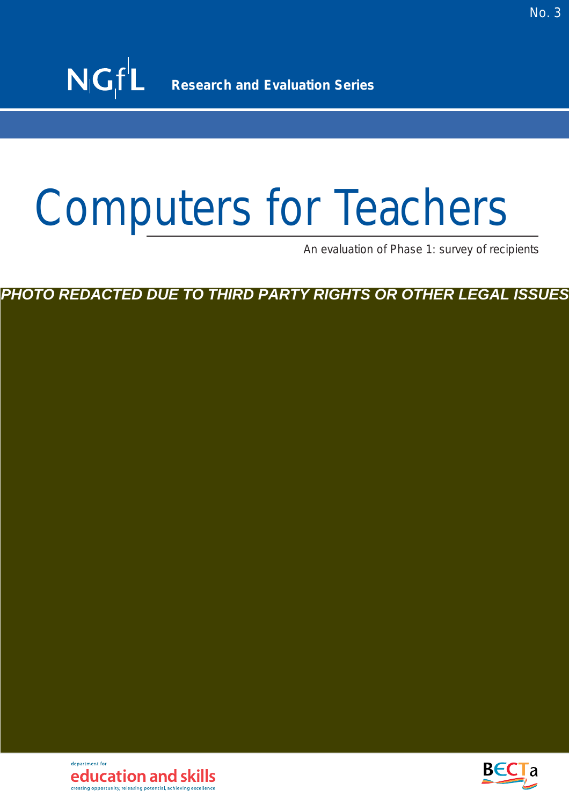An evaluation of Phase 1: survey of recipients

*PHOTO REDACTED DUE TO THIRD PARTY RIGHTS OR OTHER LEGAL ISSUES*

denartment for education and skills creating opportunity, releasing potential, achieving excellence

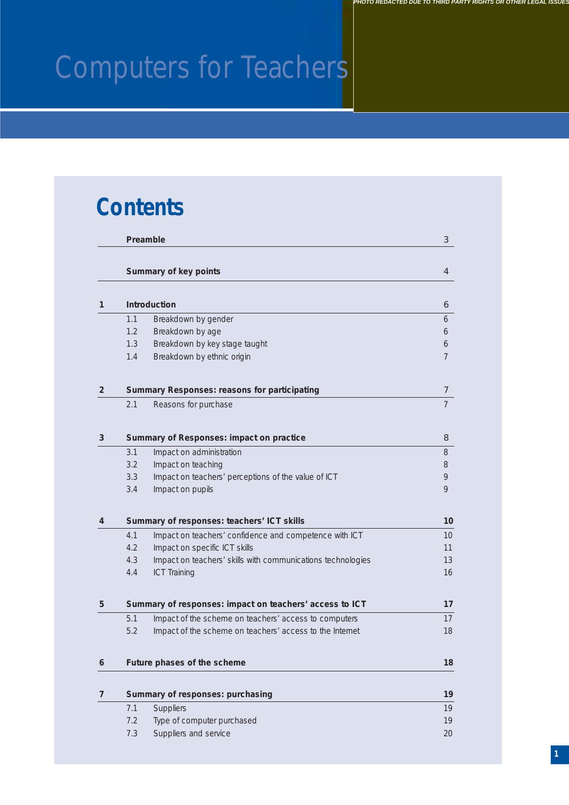### **Contents**

|                |            | Preamble                                                    | 3               |
|----------------|------------|-------------------------------------------------------------|-----------------|
|                |            | Summary of key points                                       | $\overline{4}$  |
|                |            |                                                             |                 |
| 1              |            | <b>Introduction</b>                                         | 6               |
|                | 1.1        | Breakdown by gender                                         | 6               |
|                | 1.2        | Breakdown by age                                            | 6               |
|                | 1.3<br>1.4 | Breakdown by key stage taught<br>Breakdown by ethnic origin | 6<br>7          |
|                |            |                                                             |                 |
| $\overline{2}$ |            | Summary Responses: reasons for participating                | 7               |
|                | 2.1        | Reasons for purchase                                        | 7               |
| 3              |            | Summary of Responses: impact on practice                    | 8               |
|                | 3.1        | Impact on administration                                    | 8               |
|                | 3.2        | Impact on teaching                                          | 8               |
|                | 3.3        | Impact on teachers' perceptions of the value of ICT         | 9               |
|                | 3.4        | Impact on pupils                                            | 9               |
| 4              |            | Summary of responses: teachers' ICT skills                  | 10              |
|                | 4.1        | Impact on teachers' confidence and competence with ICT      | 10 <sup>°</sup> |
|                | 4.2        | Impact on specific ICT skills                               | 11              |
|                | 4.3        | Impact on teachers' skills with communications technologies | 13              |
|                | 4.4        | <b>ICT Training</b>                                         | 16              |
| 5.             |            | Summary of responses: impact on teachers' access to ICT     | 17              |
|                | 5.1        | Impact of the scheme on teachers' access to computers       | 17              |
|                | 5.2        | Impact of the scheme on teachers' access to the Internet    | 18              |
| 6              |            | Future phases of the scheme                                 | 18              |
|                |            |                                                             |                 |
| $\overline{7}$ |            | Summary of responses: purchasing                            | 19              |
|                | 7.1        | <b>Suppliers</b>                                            | 19              |
|                | 7.2        | Type of computer purchased                                  | 19              |
|                | 7.3        | Suppliers and service                                       | $20\,$          |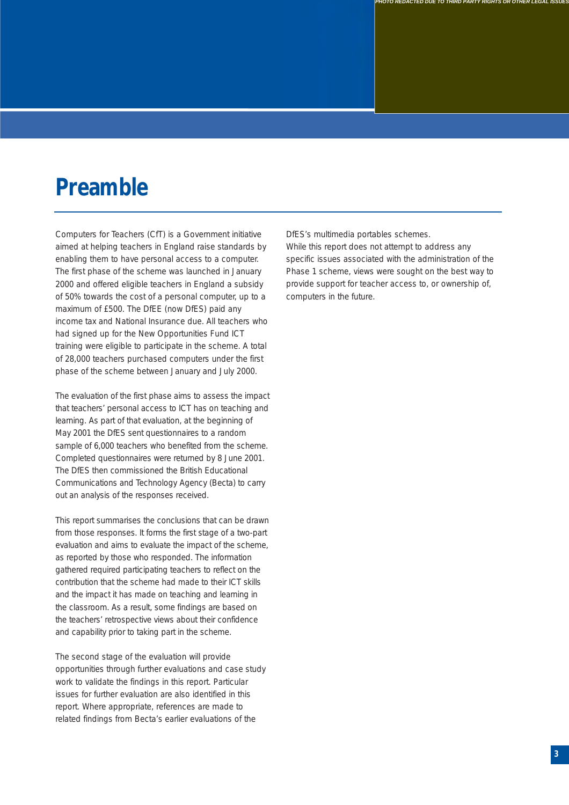### **Preamble**

Computers for Teachers (CfT) is a Government initiative aimed at helping teachers in England raise standards by enabling them to have personal access to a computer. The first phase of the scheme was launched in January 2000 and offered eligible teachers in England a subsidy of 50% towards the cost of a personal computer, up to a maximum of £500. The DfEE (now DfES) paid any income tax and National Insurance due. All teachers who had signed up for the New Opportunities Fund ICT training were eligible to participate in the scheme. A total of 28,000 teachers purchased computers under the first phase of the scheme between January and July 2000.

The evaluation of the first phase aims to assess the impact that teachers' personal access to ICT has on teaching and learning. As part of that evaluation, at the beginning of May 2001 the DfES sent questionnaires to a random sample of 6,000 teachers who benefited from the scheme. Completed questionnaires were returned by 8 June 2001. The DfES then commissioned the British Educational Communications and Technology Agency (Becta) to carry out an analysis of the responses received.

This report summarises the conclusions that can be drawn from those responses. It forms the first stage of a two-part evaluation and aims to evaluate the impact of the scheme, as reported by those who responded. The information gathered required participating teachers to reflect on the contribution that the scheme had made to their ICT skills and the impact it has made on teaching and learning in the classroom. As a result, some findings are based on the teachers' retrospective views about their confidence and capability prior to taking part in the scheme.

The second stage of the evaluation will provide opportunities through further evaluations and case study work to validate the findings in this report. Particular issues for further evaluation are also identified in this report. Where appropriate, references are made to related findings from Becta's earlier evaluations of the

DfES's multimedia portables schemes.

While this report does not attempt to address any specific issues associated with the administration of the Phase 1 scheme, views were sought on the best way to provide support for teacher access to, or ownership of, computers in the future.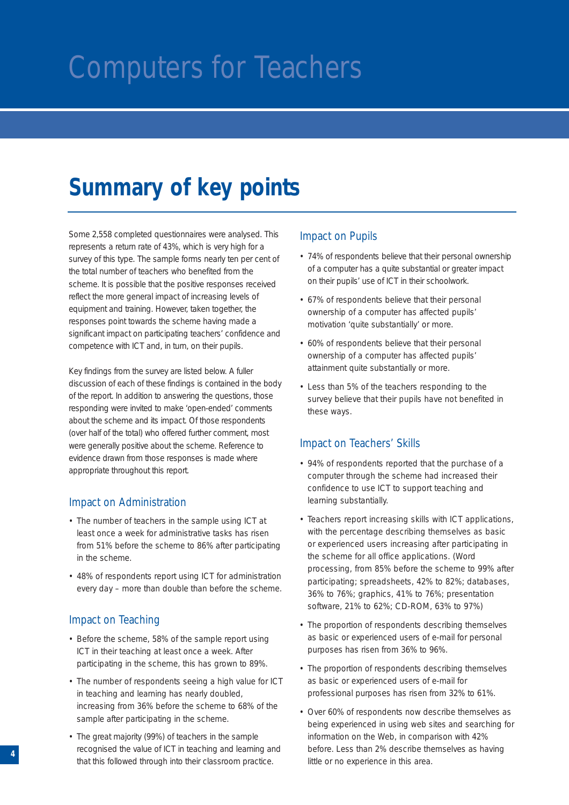### **Summary of key points**

Some 2,558 completed questionnaires were analysed. This represents a return rate of 43%, which is very high for a survey of this type. The sample forms nearly ten per cent of the total number of teachers who benefited from the scheme. It is possible that the positive responses received reflect the more general impact of increasing levels of equipment and training. However, taken together, the responses point towards the scheme having made a significant impact on participating teachers' confidence and competence with ICT and, in turn, on their pupils.

Key findings from the survey are listed below. A fuller discussion of each of these findings is contained in the body of the report. In addition to answering the questions, those responding were invited to make 'open-ended' comments about the scheme and its impact. Of those respondents (over half of the total) who offered further comment, most were generally positive about the scheme. Reference to evidence drawn from those responses is made where appropriate throughout this report.

#### Impact on Administration

- The number of teachers in the sample using ICT at least once a week for administrative tasks has risen from 51% before the scheme to 86% after participating in the scheme.
- 48% of respondents report using ICT for administration every day – more than double than before the scheme.

#### Impact on Teaching

- Before the scheme, 58% of the sample report using ICT in their teaching at least once a week. After participating in the scheme, this has grown to 89%.
- The number of respondents seeing a high value for ICT in teaching and learning has nearly doubled, increasing from 36% before the scheme to 68% of the sample after participating in the scheme.
- The great majority (99%) of teachers in the sample recognised the value of ICT in teaching and learning and that this followed through into their classroom practice.

#### Impact on Pupils

- 74% of respondents believe that their personal ownership of a computer has a quite substantial or greater impact on their pupils' use of ICT in their schoolwork.
- 67% of respondents believe that their personal ownership of a computer has affected pupils' motivation 'quite substantially' or more.
- 60% of respondents believe that their personal ownership of a computer has affected pupils' attainment quite substantially or more.
- Less than 5% of the teachers responding to the survey believe that their pupils have not benefited in these ways.

#### Impact on Teachers' Skills

- 94% of respondents reported that the purchase of a computer through the scheme had increased their confidence to use ICT to support teaching and learning substantially.
- Teachers report increasing skills with ICT applications, with the percentage describing themselves as basic or experienced users increasing after participating in the scheme for all office applications. (Word processing, from 85% before the scheme to 99% after participating; spreadsheets, 42% to 82%; databases, 36% to 76%; graphics, 41% to 76%; presentation software, 21% to 62%; CD-ROM, 63% to 97%)
- The proportion of respondents describing themselves as basic or experienced users of e-mail for personal purposes has risen from 36% to 96%.
- The proportion of respondents describing themselves as basic or experienced users of e-mail for professional purposes has risen from 32% to 61%.
- Over 60% of respondents now describe themselves as being experienced in using web sites and searching for information on the Web, in comparison with 42% before. Less than 2% describe themselves as having little or no experience in this area.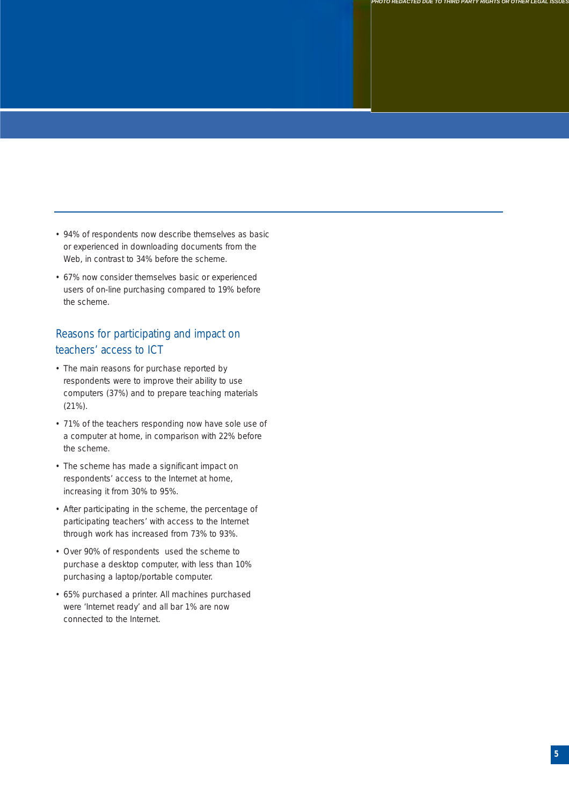- 94% of respondents now describe themselves as basic or experienced in downloading documents from the Web, in contrast to 34% before the scheme.
- 67% now consider themselves basic or experienced users of on-line purchasing compared to 19% before the scheme.

#### Reasons for participating and impact on teachers' access to ICT

- The main reasons for purchase reported by respondents were to improve their ability to use computers (37%) and to prepare teaching materials (21%).
- 71% of the teachers responding now have sole use of a computer at home, in comparison with 22% before the scheme.
- The scheme has made a significant impact on respondents' access to the Internet at home, increasing it from 30% to 95%.
- After participating in the scheme, the percentage of participating teachers' with access to the Internet through work has increased from 73% to 93%.
- Over 90% of respondents used the scheme to purchase a desktop computer, with less than 10% purchasing a laptop/portable computer.
- 65% purchased a printer. All machines purchased were 'Internet ready' and all bar 1% are now connected to the Internet.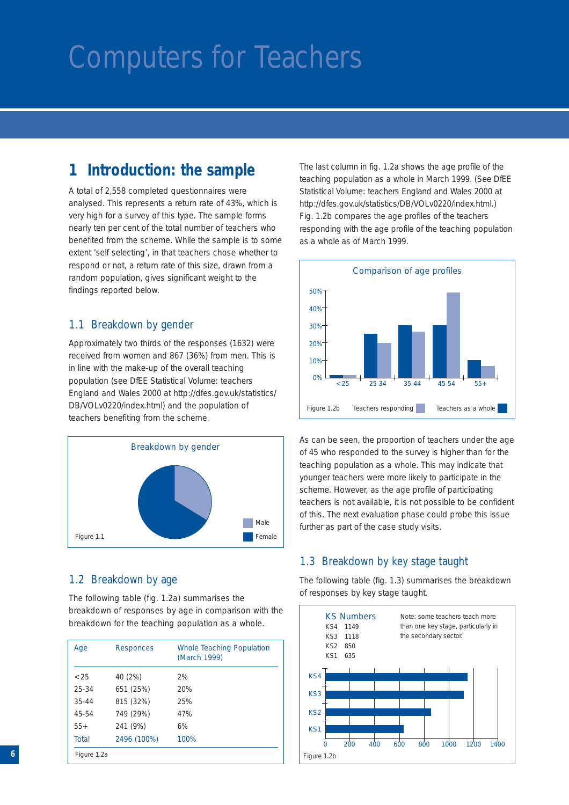### **1 Introduction: the sample**

A total of 2,558 completed questionnaires were analysed. This represents a return rate of 43%, which is very high for a survey of this type. The sample forms nearly ten per cent of the total number of teachers who benefited from the scheme. While the sample is to some extent 'self selecting', in that teachers chose whether to respond or not, a return rate of this size, drawn from a random population, gives significant weight to the findings reported below.

#### 1.1 Breakdown by gender

Approximately two thirds of the responses (1632) were received from women and 867 (36%) from men. This is in line with the make-up of the overall teaching population (see *DfEE Statistical Volume: teachers England and Wales 2000* at http://dfes.gov.uk/statistics/ DB/VOLv0220/index.html) and the population of teachers benefiting from the scheme.



#### 1.2 Breakdown by age

The following table (fig. 1.2a) summarises the breakdown of responses by age in comparison with the breakdown for the teaching population as a whole.

| Age         | Responces   | Whole Teaching Population<br>(March 1999) |
|-------------|-------------|-------------------------------------------|
| ${<}25$     | 40 (2%)     | 2%                                        |
| $25 - 34$   | 651 (25%)   | 20%                                       |
| $35 - 44$   | 815 (32%)   | 25%                                       |
| 45-54       | 749 (29%)   | 47%                                       |
| $55+$       | 241 (9%)    | 6%                                        |
| Total       | 2496 (100%) | 100%                                      |
| Figure 1.2a |             |                                           |

The last column in fig. 1.2a shows the age profile of the teaching population as a whole in March 1999. (See *DfEE Statistical Volume: teachers England and Wales 2000* at http://dfes.gov.uk/statistics/DB/VOLv0220/index.html.) Fig. 1.2b compares the age profiles of the teachers responding with the age profile of the teaching population as a whole as of March 1999.



As can be seen, the proportion of teachers under the age of 45 who responded to the survey is higher than for the teaching population as a whole. This may indicate that younger teachers were more likely to participate in the scheme. However, as the age profile of participating teachers is not available, it is not possible to be confident of this. The next evaluation phase could probe this issue further as part of the case study visits.

#### 1.3 Breakdown by key stage taught

The following table (fig. 1.3) summarises the breakdown of responses by key stage taught.

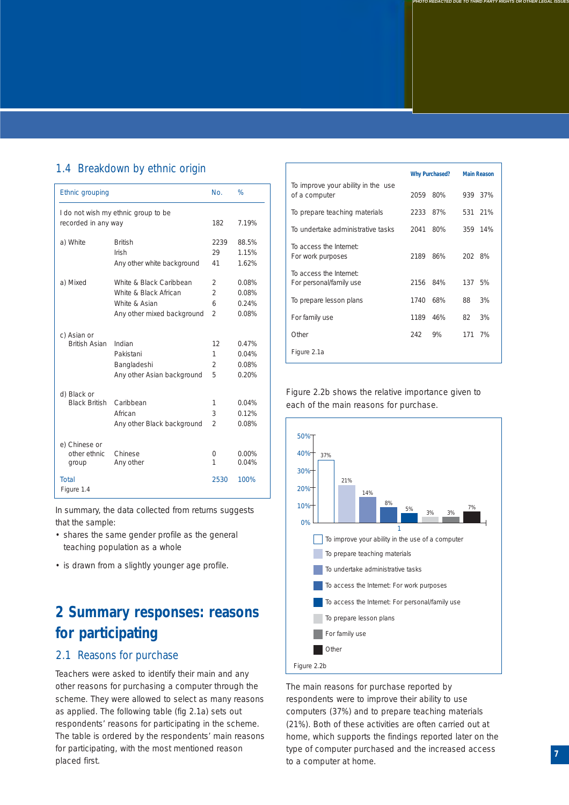#### 1.4 Breakdown by ethnic origin

|                                                            | No.            | %                         |
|------------------------------------------------------------|----------------|---------------------------|
| I do not wish my ethnic group to be<br>recorded in any way | 182            | 7.19%                     |
| <b>British</b>                                             | 2239           | 88.5%                     |
| Irish                                                      | 29             | 1.15%                     |
| Any other white background                                 | 41             | 1.62%                     |
| White & Black Caribbean                                    | 2              | 0.08%                     |
| White & Black African                                      | $\mathfrak{D}$ | 0.08%                     |
| White & Asian                                              | 6              | 0.24%                     |
| Any other mixed background                                 | $\mathfrak{D}$ | 0.08%                     |
| Indian                                                     | 12             | 0.47%                     |
| Pakistani                                                  | 1              | 0.04%                     |
| Bangladeshi                                                | 2              | 0.08%                     |
| Any other Asian background                                 | 5              | 0.20%                     |
| Caribbean                                                  | 1              | 0.04%                     |
| African                                                    | 3              | 0.12%                     |
| Any other Black background                                 | $\mathfrak{D}$ | 0.08%                     |
| Chinese<br>Any other                                       | 0<br>1<br>2530 | $0.00\%$<br>0.04%<br>100% |
|                                                            |                |                           |

In summary, the data collected from returns suggests that the sample:

- shares the same gender profile as the general teaching population as a whole
- is drawn from a slightly younger age profile.

### **2 Summary responses: reasons for participating**

#### 2.1 Reasons for purchase

Teachers were asked to identify their main and any other reasons for purchasing a computer through the scheme. They were allowed to select as many reasons as applied. The following table (fig 2.1a) sets out respondents' reasons for participating in the scheme. The table is ordered by the respondents' main reasons for participating, with the most mentioned reason placed first.

|                                                     |      | <b>Why Purchased?</b> |         | <b>Main Reason</b> |
|-----------------------------------------------------|------|-----------------------|---------|--------------------|
| To improve your ability in the use<br>of a computer | 2059 | 80%                   | 939 37% |                    |
| To prepare teaching materials                       | 2233 | 87%                   | 531 21% |                    |
| To undertake administrative tasks                   | 2041 | 80%                   | 359 14% |                    |
| To access the Internet:<br>For work purposes        | 2189 | 86%                   | 202 8%  |                    |
| To access the Internet:<br>For personal/family use  | 2156 | 84%                   | 137     | 5%                 |
| To prepare lesson plans                             | 1740 | 68%                   | 88      | 3%                 |
| For family use                                      | 1189 | 46%                   | 82      | 3%                 |
| Other                                               | 242  | 9%                    | 171     | 7%                 |
| Figure 2.1a                                         |      |                       |         |                    |

*PHOTO REDACTED DUE TO THIRD PARTY RIGHTS OR OTHER LEGAL ISSUES*

Figure 2.2b shows the relative importance given to each of the main reasons for purchase.



The main reasons for purchase reported by respondents were to improve their ability to use computers (37%) and to prepare teaching materials (21%). Both of these activities are often carried out at home, which supports the findings reported later on the type of computer purchased and the increased access to a computer at home.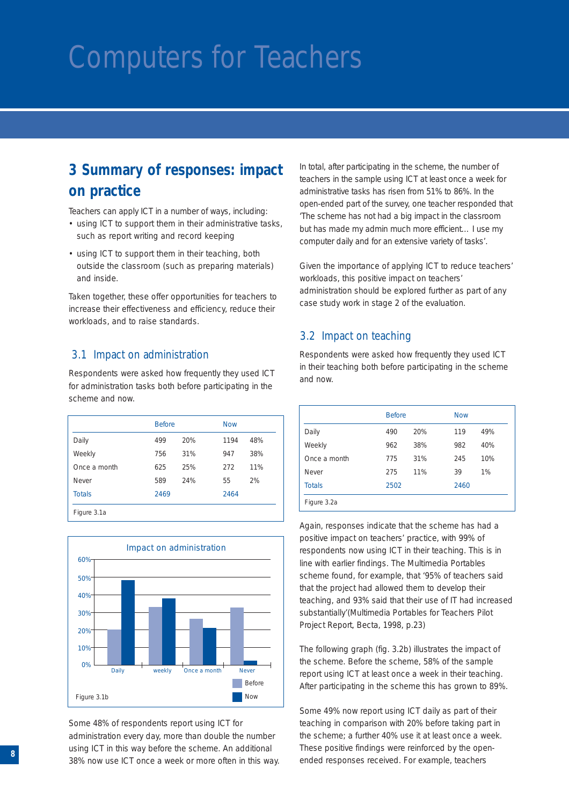### **3 Summary of responses: impact on practice**

Teachers can apply ICT in a number of ways, including:

- using ICT to support them in their administrative tasks, such as report writing and record keeping
- using ICT to support them in their teaching, both outside the classroom (such as preparing materials) and inside.

Taken together, these offer opportunities for teachers to increase their effectiveness and efficiency, reduce their workloads, and to raise standards.

#### 3.1 Impact on administration

Respondents were asked how frequently they used ICT for administration tasks both before participating in the scheme and now.

|               | <b>Before</b> |     | <b>Now</b> |     |
|---------------|---------------|-----|------------|-----|
| Daily         | 499           | 20% | 1194       | 48% |
| Weekly        | 756           | 31% | 947        | 38% |
| Once a month  | 625           | 25% | 272        | 11% |
| Never         | 589           | 24% | 55         | 2%  |
| <b>Totals</b> | 2469          |     | 2464       |     |
| Figure 3.1a   |               |     |            |     |



Some 48% of respondents report using ICT for administration every day, more than double the number using ICT in this way before the scheme. An additional 38% now use ICT once a week or more often in this way. In total, after participating in the scheme, the number of teachers in the sample using ICT at least once a week for administrative tasks has risen from 51% to 86%. In the open-ended part of the survey, one teacher responded that 'The scheme has not had a big impact in the classroom but has made my admin much more efficient… I use my computer daily and for an extensive variety of tasks'.

Given the importance of applying ICT to reduce teachers' workloads, this positive impact on teachers' administration should be explored further as part of any case study work in stage 2 of the evaluation.

#### 3.2 Impact on teaching

Respondents were asked how frequently they used ICT in their teaching both before participating in the scheme and now.

|               | <b>Before</b> |     | <b>Now</b> |     |
|---------------|---------------|-----|------------|-----|
| Daily         | 490           | 20% | 119        | 49% |
| Weekly        | 962           | 38% | 982        | 40% |
| Once a month  | 775           | 31% | 245        | 10% |
| Never         | 275           | 11% | 39         | 1%  |
| <b>Totals</b> | 2502          |     | 2460       |     |
| Figure 3.2a   |               |     |            |     |

Again, responses indicate that the scheme has had a positive impact on teachers' practice, with 99% of respondents now using ICT in their teaching. This is in line with earlier findings. The Multimedia Portables scheme found, for example, that '95% of teachers said that the project had allowed them to develop their teaching, and 93% said that their use of IT had increased substantially'(*Multimedia Portables for Teachers Pilot Project Report*, Becta, 1998, p.23)

The following graph (fig. 3.2b) illustrates the impact of the scheme. Before the scheme, 58% of the sample report using ICT at least once a week in their teaching. After participating in the scheme this has grown to 89%.

Some 49% now report using ICT daily as part of their teaching in comparison with 20% before taking part in the scheme; a further 40% use it at least once a week. These positive findings were reinforced by the openended responses received. For example, teachers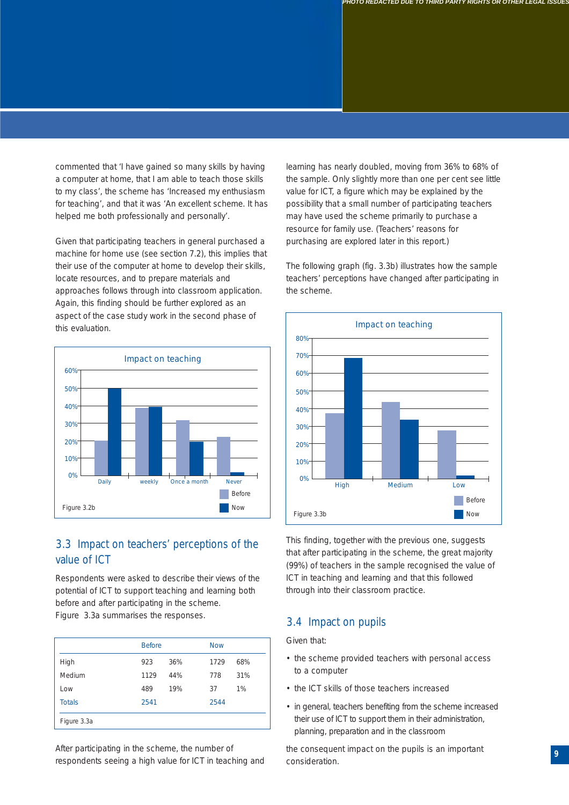commented that 'I have gained so many skills by having a computer at home, that I am able to teach those skills to my class', the scheme has 'Increased my enthusiasm for teaching', and that it was 'An excellent scheme. It has helped me both professionally and personally'.

Given that participating teachers in general purchased a machine for home use (see section 7.2), this implies that their use of the computer at home to develop their skills, locate resources, and to prepare materials and approaches follows through into classroom application. Again, this finding should be further explored as an aspect of the case study work in the second phase of this evaluation.



#### 3.3 Impact on teachers' perceptions of the value of ICT

Respondents were asked to describe their views of the potential of ICT to support teaching and learning both before and after participating in the scheme. Figure 3.3a summarises the responses.

|               | <b>Before</b> |     | <b>Now</b> |     |
|---------------|---------------|-----|------------|-----|
| High          | 923           | 36% | 1729       | 68% |
| Medium        | 1129          | 44% | 778        | 31% |
| Low           | 489           | 19% | 37         | 1%  |
| <b>Totals</b> | 2541          |     | 2544       |     |
| Figure 3.3a   |               |     |            |     |

After participating in the scheme, the number of respondents seeing a high value for ICT in teaching and learning has nearly doubled, moving from 36% to 68% of the sample. Only slightly more than one per cent see little value for ICT, a figure which may be explained by the possibility that a small number of participating teachers may have used the scheme primarily to purchase a resource for family use. (Teachers' reasons for purchasing are explored later in this report.)

The following graph (fig. 3.3b) illustrates how the sample teachers' perceptions have changed after participating in the scheme.



This finding, together with the previous one, suggests that after participating in the scheme, the great majority (99%) of teachers in the sample recognised the value of ICT in teaching and learning and that this followed through into their classroom practice.

#### 3.4 Impact on pupils

Given that:

- the scheme provided teachers with personal access to a computer
- the ICT skills of those teachers increased
- in general, teachers benefiting from the scheme increased their use of ICT to support them in their administration, planning, preparation and in the classroom

the consequent impact on the pupils is an important consideration.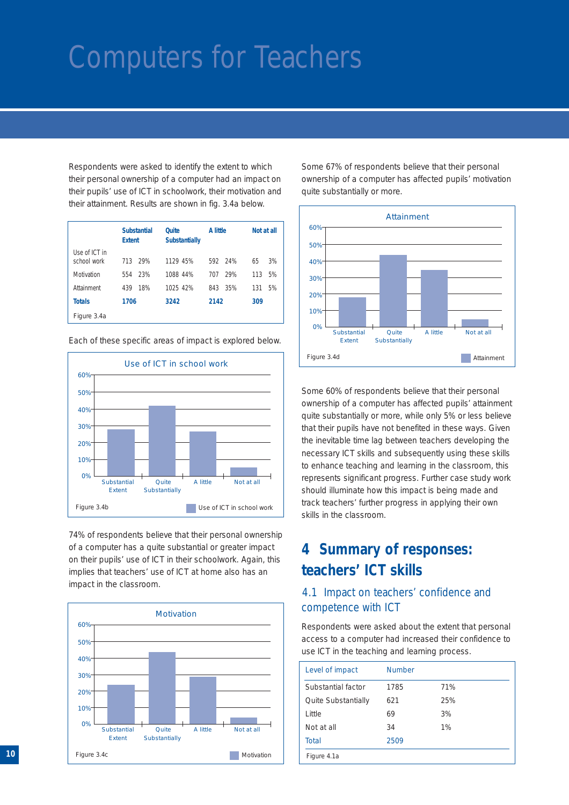Respondents were asked to identify the extent to which their personal ownership of a computer had an impact on their pupils' use of ICT in schoolwork, their motivation and their attainment. Results are shown in fig. 3.4a below.

|                              | <b>Substantial</b><br><b>Extent</b> | <b>Ouite</b><br><b>Substantially</b> | A little   | Not at all |
|------------------------------|-------------------------------------|--------------------------------------|------------|------------|
| Use of ICT in<br>school work | 713<br>29%                          | 1129 45%                             | 592 24%    | 65<br>3%   |
| Motivation                   | 23%<br>554                          | 1088 44%                             | 29%<br>707 | 5%<br>113  |
| Attainment                   | 18%<br>439                          | 1025 42%                             | 35%<br>843 | 5%<br>131  |
| <b>Totals</b>                | 1706                                | 3242                                 | 2142       | 309        |
| Figure 3.4a                  |                                     |                                      |            |            |

Each of these specific areas of impact is explored below.



74% of respondents believe that their personal ownership of a computer has a quite substantial or greater impact on their pupils' use of ICT in their schoolwork. Again, this implies that teachers' use of ICT at home also has an impact in the classroom.



Some 67% of respondents believe that their personal ownership of a computer has affected pupils' motivation quite substantially or more.



Some 60% of respondents believe that their personal ownership of a computer has affected pupils' attainment quite substantially or more, while only 5% or less believe that their pupils have not benefited in these ways. Given the inevitable time lag between teachers developing the necessary ICT skills and subsequently using these skills to enhance teaching and learning in the classroom, this represents significant progress. Further case study work should illuminate how this impact is being made and track teachers' further progress in applying their own skills in the classroom.

### **4 Summary of responses: teachers' ICT skills**

#### 4.1 Impact on teachers' confidence and competence with ICT

Respondents were asked about the extent that personal access to a computer had increased their confidence to use ICT in the teaching and learning process.

| Level of impact     | <b>Number</b> |     |
|---------------------|---------------|-----|
| Substantial factor  | 1785          | 71% |
| Quite Substantially | 621           | 25% |
| I ittle             | 69            | 3%  |
| Not at all          | 34            | 1%  |
| Total               | 2509          |     |
| Figure 4.1a         |               |     |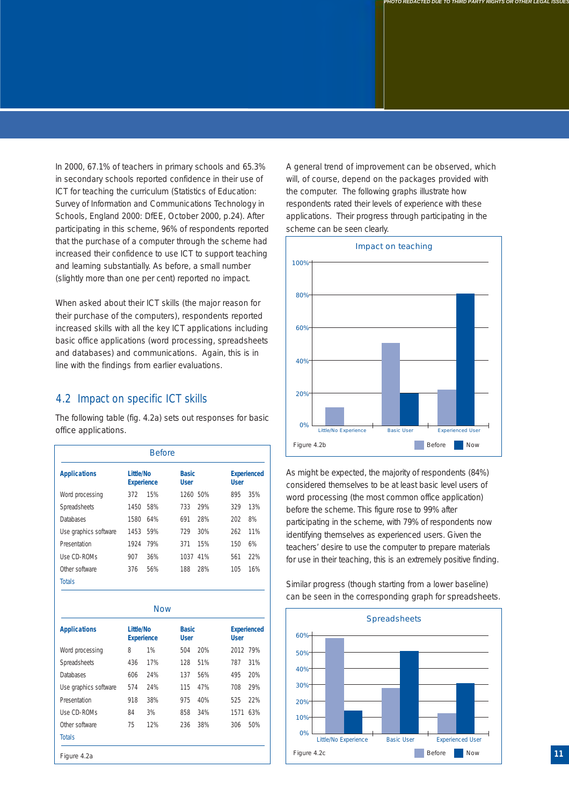In 2000, 67.1% of teachers in primary schools and 65.3% in secondary schools reported confidence in their use of ICT for teaching the curriculum (*Statistics of Education: Survey of Information and Communications Technology in Schools, England 2000*: DfEE, October 2000, p.24). After participating in this scheme, 96% of respondents reported that the purchase of a computer through the scheme had increased their confidence to use ICT to support teaching and learning substantially. As before, a small number (slightly more than one per cent) reported no impact.

When asked about their ICT skills (the major reason for their purchase of the computers), respondents reported increased skills with all the key ICT applications including basic office applications (word processing, spreadsheets and databases) and communications. Again, this is in line with the findings from earlier evaluations.

#### 4.2 Impact on specific ICT skills

The following table (fig. 4.2a) sets out responses for basic office applications.

|                       |                                | <b>Before</b> |                             |     |             |                    |
|-----------------------|--------------------------------|---------------|-----------------------------|-----|-------------|--------------------|
| <b>Applications</b>   | Little/No<br><b>Experience</b> |               | <b>Basic</b><br><b>User</b> |     | <b>User</b> | <b>Experienced</b> |
| Word processing       | 372                            | 15%           | 1260 50%                    |     | 895         | 35%                |
| Spreadsheets          | 1450                           | 58%           | 733                         | 29% | 329         | 13%                |
| <b>Databases</b>      | 1580                           | 64%           | 691                         | 28% | 202         | 8%                 |
| Use graphics software | 1453                           | 59%           | 729                         | 30% | 262         | 11%                |
| Presentation          | 1924                           | 79%           | 371                         | 15% | 150         | 6%                 |
| Use CD-ROMs           | 907                            | 36%           | 1037                        | 41% | 561         | 22%                |
| Other software        | 376                            | 56%           | 188                         | 28% | 105         | 16%                |
| <b>Totals</b>         |                                |               |                             |     |             |                    |

Figure 4.2a **Applications Little/No Basic Experienced Experience User User** Word processing 8 1% 504 20% 2012 79% Spreadsheets 436 17% 128 51% 787 31% Databases 606 24% 137 56% 495 20% Use graphics software 574 24% 115 47% 708 29% Presentation 918 38% 975 40% 525 22% Use CD-ROMs 84 3% 858 34% 1571 63% Other software 75 12% 236 38% 306 50% **Totals Now** 

A general trend of improvement can be observed, which will, of course, depend on the packages provided with the computer. The following graphs illustrate how respondents rated their levels of experience with these applications. Their progress through participating in the scheme can be seen clearly.

*PHOTO REDACTED DUE TO THIRD PARTY RIGHTS OR OTHER LEGAL ISSUES*



As might be expected, the majority of respondents (84%) considered themselves to be at least basic level users of word processing (the most common office application) before the scheme. This figure rose to 99% after participating in the scheme, with 79% of respondents now identifying themselves as experienced users. Given the teachers' desire to use the computer to prepare materials for use in their teaching, this is an extremely positive finding.



Similar progress (though starting from a lower baseline) can be seen in the corresponding graph for spreadsheets.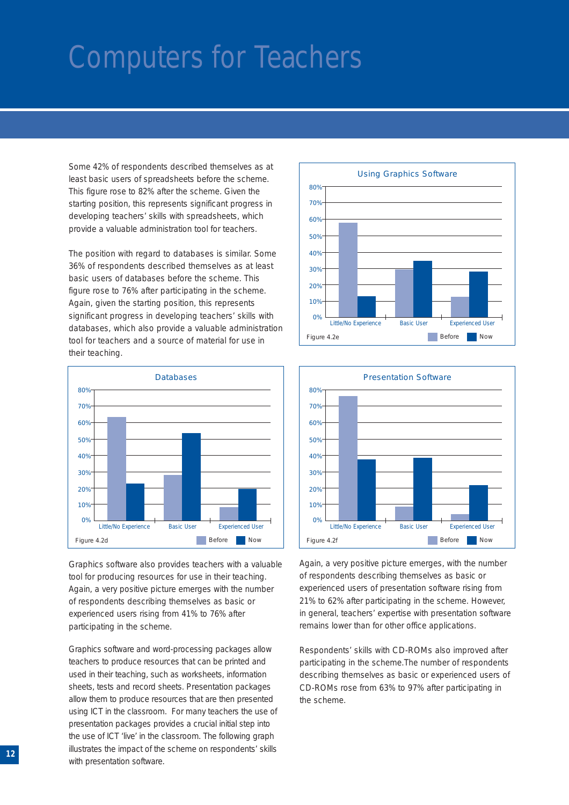Some 42% of respondents described themselves as at least basic users of spreadsheets before the scheme. This figure rose to 82% after the scheme. Given the starting position, this represents significant progress in developing teachers' skills with spreadsheets, which provide a valuable administration tool for teachers.

The position with regard to databases is similar. Some 36% of respondents described themselves as at least basic users of databases before the scheme. This figure rose to 76% after participating in the scheme. Again, given the starting position, this represents significant progress in developing teachers' skills with databases, which also provide a valuable administration tool for teachers and a source of material for use in their teaching.



Graphics software also provides teachers with a valuable tool for producing resources for use in their teaching. Again, a very positive picture emerges with the number of respondents describing themselves as basic or experienced users rising from 41% to 76% after participating in the scheme.

Graphics software and word-processing packages allow teachers to produce resources that can be printed and used in their teaching, such as worksheets, information sheets, tests and record sheets. Presentation packages allow them to produce resources that are then presented using ICT in the classroom. For many teachers the use of presentation packages provides a crucial initial step into the use of ICT 'live' in the classroom. The following graph illustrates the impact of the scheme on respondents' skills with presentation software.





Again, a very positive picture emerges, with the number of respondents describing themselves as basic or experienced users of presentation software rising from 21% to 62% after participating in the scheme. However, in general, teachers' expertise with presentation software remains lower than for other office applications.

Respondents' skills with CD-ROMs also improved after participating in the scheme.The number of respondents describing themselves as basic or experienced users of CD-ROMs rose from 63% to 97% after participating in the scheme.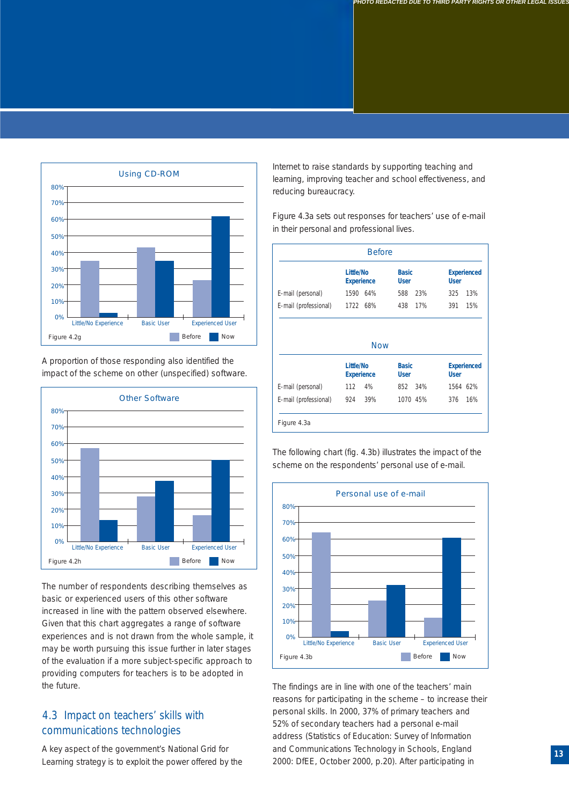

A proportion of those responding also identified the impact of the scheme on other (unspecified) software.



The number of respondents describing themselves as basic or experienced users of this other software increased in line with the pattern observed elsewhere. Given that this chart aggregates a range of software experiences and is not drawn from the whole sample, it may be worth pursuing this issue further in later stages of the evaluation if a more subject-specific approach to providing computers for teachers is to be adopted in the future.

#### 4.3 Impact on teachers' skills with communications technologies

A key aspect of the government's National Grid for Learning strategy is to exploit the power offered by the Internet to raise standards by supporting teaching and learning, improving teacher and school effectiveness, and reducing bureaucracy.

Figure 4.3a sets out responses for teachers' use of e-mail in their personal and professional lives.

|                                | Little/No<br><b>Experience</b> | <b>Basic</b><br><b>User</b> | <b>Experienced</b><br><b>User</b> |
|--------------------------------|--------------------------------|-----------------------------|-----------------------------------|
| E-mail (personal)              | 1590 64%                       | 23%<br>588                  | 13%<br>325                        |
| E-mail (professional) 1722 68% |                                | 438 17%                     | 391<br>15%                        |
|                                | <b>Now</b>                     |                             |                                   |
|                                | Little/No<br><b>Experience</b> | <b>Basic</b><br><b>User</b> | <b>User</b>                       |
| E-mail (personal)              | 112<br>4%                      | 852 34%                     | <b>Experienced</b><br>1564 62%    |

The following chart (fig. 4.3b) illustrates the impact of the scheme on the respondents' personal use of e-mail.



The findings are in line with one of the teachers' main reasons for participating in the scheme – to increase their personal skills. In 2000, 37% of primary teachers and 52% of secondary teachers had a personal e-mail address (*Statistics of Education: Survey of Information and Communications Technology in Schools, England 2000*: DfEE, October 2000, p.20). After participating in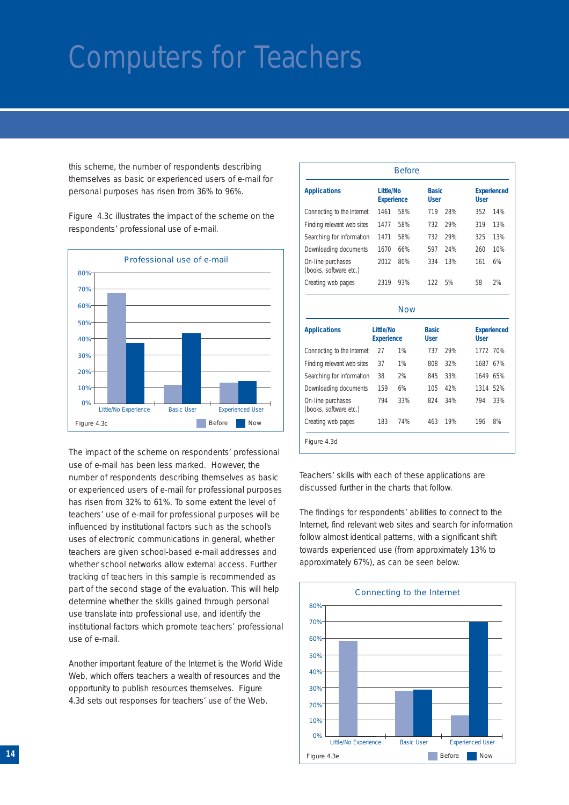this scheme, the number of respondents describing themselves as basic or experienced users of e-mail for personal purposes has risen from 36% to 96%.

Figure 4.3c illustrates the impact of the scheme on the respondents' professional use of e-mail.



The impact of the scheme on respondents' professional use of e-mail has been less marked. However, the number of respondents describing themselves as basic or experienced users of e-mail for professional purposes has risen from 32% to 61%. To some extent the level of teachers' use of e-mail for professional purposes will be influenced by institutional factors such as the school's uses of electronic communications in general, whether teachers are given school-based e-mail addresses and whether school networks allow external access. Further tracking of teachers in this sample is recommended as part of the second stage of the evaluation. This will help determine whether the skills gained through personal use translate into professional use, and identify the institutional factors which promote teachers' professional use of e-mail.

Another important feature of the Internet is the World Wide Web, which offers teachers a wealth of resources and the opportunity to publish resources themselves. Figure 4.3d sets out responses for teachers' use of the Web.

|                                                                                                                                                                                      |                                       | <b>Before</b> |                             |     |             |                           |
|--------------------------------------------------------------------------------------------------------------------------------------------------------------------------------------|---------------------------------------|---------------|-----------------------------|-----|-------------|---------------------------|
| <b>Applications</b>                                                                                                                                                                  | <b>Little/No</b><br><b>Experience</b> |               | <b>Basic</b><br><b>User</b> |     | <b>User</b> | <b>Experienced</b>        |
| Connecting to the Internet                                                                                                                                                           | 1461                                  | 58%           | 719                         | 28% | 352         | 14%                       |
| Finding relevant web sites                                                                                                                                                           | 1477                                  | 58%           | 732                         | 29% | 319         | 13%                       |
| Searching for information                                                                                                                                                            | 1471                                  | 58%           | 732                         | 29% | 325         | 13%                       |
| Downloading documents                                                                                                                                                                | 1670                                  | 66%           | 597                         | 24% | 260         | 10%                       |
| On-line purchases<br>(books, software etc.)                                                                                                                                          | 2012                                  | 80%           | 334                         | 13% | 161         | 6%                        |
|                                                                                                                                                                                      |                                       | 93%           | 122                         | 5%  | 58          | 2%                        |
| Creating web pages                                                                                                                                                                   | 2319                                  | <b>Now</b>    |                             |     |             |                           |
|                                                                                                                                                                                      | <b>Little/No</b><br><b>Experience</b> |               | <b>Basic</b><br><b>User</b> |     | <b>User</b> |                           |
|                                                                                                                                                                                      | 27                                    | 1%            | 737                         | 29% | 1772 70%    |                           |
|                                                                                                                                                                                      | 37                                    | 1%            | 808                         | 32% | 1687 67%    |                           |
|                                                                                                                                                                                      | 38                                    | 2%            | 845                         | 33% | 1649 65%    |                           |
|                                                                                                                                                                                      | 159                                   | 6%            | 105                         | 42% | 1314 52%    |                           |
| <b>Applications</b><br>Connecting to the Internet<br>Finding relevant web sites<br>Searching for information<br>Downloading documents<br>On-line purchases<br>(books, software etc.) | 794                                   | 33%           | 824                         | 34% | 794         | <b>Experienced</b><br>33% |

Teachers' skills with each of these applications are discussed further in the charts that follow.

The findings for respondents' abilities to connect to the Internet, find relevant web sites and search for information follow almost identical patterns, with a significant shift towards experienced use (from approximately 13% to approximately 67%), as can be seen below.

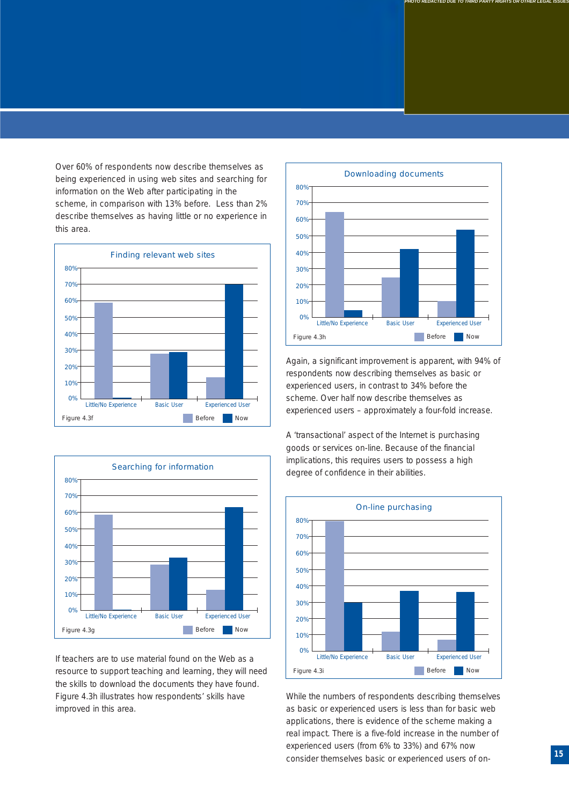Over 60% of respondents now describe themselves as being experienced in using web sites and searching for information on the Web after participating in the scheme, in comparison with 13% before. Less than 2% describe themselves as having little or no experience in this area.





If teachers are to use material found on the Web as a resource to support teaching and learning, they will need the skills to download the documents they have found. Figure 4.3h illustrates how respondents' skills have improved in this area.



*PHOTO REDACTED DUE TO THIRD PARTY RIGHTS OR OTHER LEGAL ISSUES*

Again, a significant improvement is apparent, with 94% of respondents now describing themselves as basic or experienced users, in contrast to 34% before the scheme. Over half now describe themselves as experienced users – approximately a four-fold increase.

A 'transactional' aspect of the Internet is purchasing goods or services on-line. Because of the financial implications, this requires users to possess a high degree of confidence in their abilities.



While the numbers of respondents describing themselves as basic or experienced users is less than for basic web applications, there is evidence of the scheme making a real impact. There is a five-fold increase in the number of experienced users (from 6% to 33%) and 67% now consider themselves basic or experienced users of on- **<sup>15</sup>**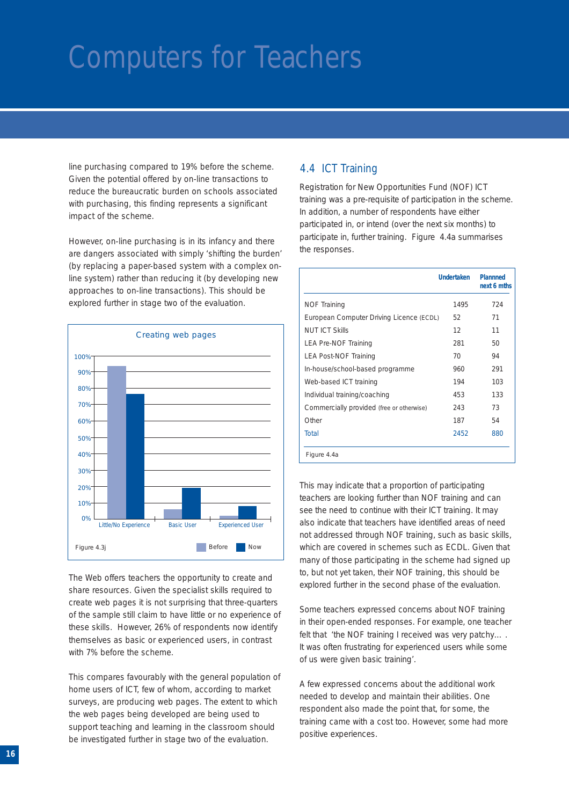line purchasing compared to 19% before the scheme. Given the potential offered by on-line transactions to reduce the bureaucratic burden on schools associated with purchasing, this finding represents a significant impact of the scheme.

However, on-line purchasing is in its infancy and there are dangers associated with simply 'shifting the burden' (by replacing a paper-based system with a complex online system) rather than reducing it (by developing new approaches to on-line transactions). This should be explored further in stage two of the evaluation.



The Web offers teachers the opportunity to create and share resources. Given the specialist skills required to create web pages it is not surprising that three-quarters of the sample still claim to have little or no experience of these skills. However, 26% of respondents now identify themselves as basic or experienced users, in contrast with 7% before the scheme.

This compares favourably with the general population of home users of ICT, few of whom, according to market surveys, are producing web pages. The extent to which the web pages being developed are being used to support teaching and learning in the classroom should be investigated further in stage two of the evaluation.

#### 4.4 ICT Training

Registration for New Opportunities Fund (NOF) ICT training was a pre-requisite of participation in the scheme. In addition, a number of respondents have either participated in, or intend (over the next six months) to participate in, further training. Figure 4.4a summarises the responses.

|                                           | Undertaken | <b>Plannned</b><br>next 6 mths |
|-------------------------------------------|------------|--------------------------------|
| <b>NOF Training</b>                       | 1495       | 724                            |
| European Computer Driving Licence (ECDL)  | 52         | 71                             |
| NUT ICT Skills                            | 12         | 11                             |
| LEA Pre-NOF Training                      | 281        | 50                             |
| <b>LEA Post-NOF Training</b>              | 70         | 94                             |
| In-house/school-based programme           | 960        | 291                            |
| Web-based ICT training                    | 194        | 103                            |
| Individual training/coaching              | 453        | 133                            |
| Commercially provided (free or otherwise) | 243        | 73                             |
| Other                                     | 187        | 54                             |
| Total                                     | 2452       | 880                            |
| Figure 4.4a                               |            |                                |

This may indicate that a proportion of participating teachers are looking further than NOF training and can see the need to continue with their ICT training. It may also indicate that teachers have identified areas of need not addressed through NOF training, such as basic skills, which are covered in schemes such as ECDL. Given that many of those participating in the scheme had signed up to, but not yet taken, their NOF training, this should be explored further in the second phase of the evaluation.

Some teachers expressed concerns about NOF training in their open-ended responses. For example, one teacher felt that 'the NOF training I received was very patchy.... It was often frustrating for experienced users while some of us were given basic training'.

A few expressed concerns about the additional work needed to develop and maintain their abilities. One respondent also made the point that, for some, the training came with a cost too. However, some had more positive experiences.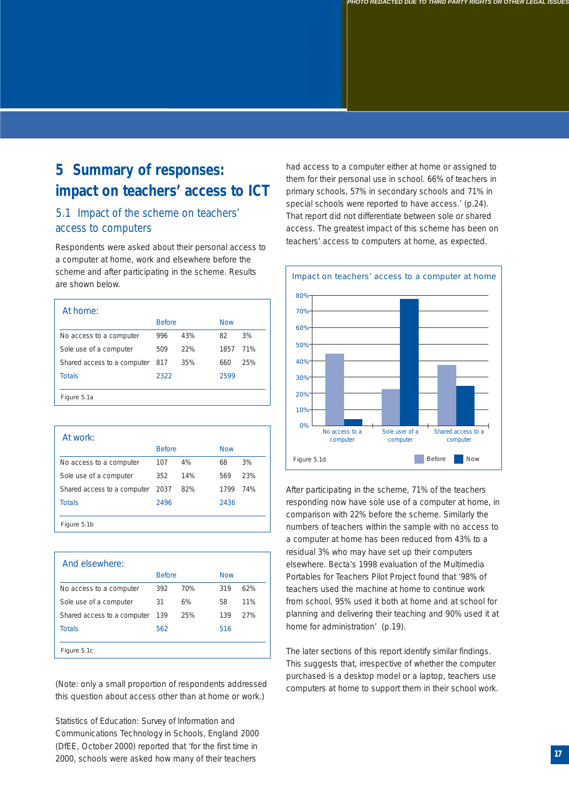### **5 Summary of responses: impact on teachers' access to ICT**

#### 5.1 Impact of the scheme on teachers' access to computers

Respondents were asked about their personal access to a computer at home, work and elsewhere before the scheme and after participating in the scheme. Results are shown below.

| At home:                    |               |     |            |     |
|-----------------------------|---------------|-----|------------|-----|
|                             | <b>Before</b> |     | <b>Now</b> |     |
| No access to a computer     | 996           | 43% | 82         | 3%  |
| Sole use of a computer      | 509           | 22% | 1857       | 71% |
| Shared access to a computer | 817           | 35% | 660        | 25% |
| <b>Totals</b>               | 2322          |     | 2599       |     |
|                             |               |     |            |     |
| Figure 5.1a                 |               |     |            |     |

| At work:                    |               |     |            |     |
|-----------------------------|---------------|-----|------------|-----|
|                             | <b>Before</b> |     | <b>Now</b> |     |
| No access to a computer     | 107           | 4%  | 68         | 3%  |
| Sole use of a computer      | 352           | 14% | 569        | 23% |
| Shared access to a computer | 2037          | 82% | 1799       | 74% |
| <b>Totals</b>               | 2496          |     | 2436       |     |
|                             |               |     |            |     |
| Figure 5.1b                 |               |     |            |     |

| And elsewhere:              |               |     |            |     |
|-----------------------------|---------------|-----|------------|-----|
|                             | <b>Before</b> |     | <b>Now</b> |     |
| No access to a computer     | 392           | 70% | 319        | 62% |
| Sole use of a computer      | 31            | 6%  | 58         | 11% |
| Shared access to a computer | 139           | 25% | 139        | 27% |
| <b>Totals</b>               | 562           |     | 516        |     |
|                             |               |     |            |     |
| Figure 5.1c                 |               |     |            |     |

(Note: only a small proportion of respondents addressed this question about access other than at home or work.)

*Statistics of Education: Survey of Information and Communications Technology in Schools, England 2000* (DfEE, October 2000) reported that 'for the first time in 2000, schools were asked how many of their teachers

had access to a computer either at home or assigned to them for their personal use in school. 66% of teachers in primary schools, 57% in secondary schools and 71% in special schools were reported to have access.' (p.24). That report did not differentiate between sole or shared access. The greatest impact of this scheme has been on teachers' access to computers at home, as expected.



After participating in the scheme, 71% of the teachers responding now have sole use of a computer at home, in comparison with 22% before the scheme. Similarly the numbers of teachers within the sample with no access to a computer at home has been reduced from 43% to a residual 3% who may have set up their computers elsewhere. Becta's 1998 evaluation of the Multimedia Portables for Teachers Pilot Project found that '98% of teachers used the machine at home to continue work from school, 95% used it both at home and at school for planning and delivering their teaching and 90% used it at home for administration' (p.19).

The later sections of this report identify similar findings. This suggests that, irrespective of whether the computer purchased is a desktop model or a laptop, teachers use computers at home to support them in their school work.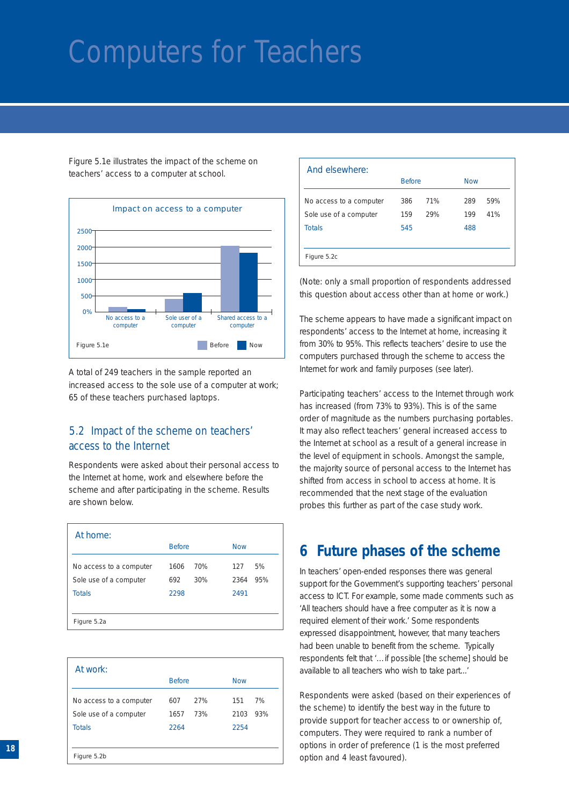Figure 5.1e illustrates the impact of the scheme on teachers' access to a computer at school.



A total of 249 teachers in the sample reported an increased access to the sole use of a computer at work; 65 of these teachers purchased laptops.

#### 5.2 Impact of the scheme on teachers' access to the Internet

Respondents were asked about their personal access to the Internet at home, work and elsewhere before the scheme and after participating in the scheme. Results are shown below.

| At home:                |               |     |            |     |  |
|-------------------------|---------------|-----|------------|-----|--|
|                         | <b>Before</b> |     | <b>Now</b> |     |  |
| No access to a computer | 1606          | 70% | 127        | 5%  |  |
| Sole use of a computer  | 692           | 30% | 2364       | 95% |  |
| <b>Totals</b>           | 2298          |     | 2491       |     |  |
|                         |               |     |            |     |  |
| Figure 5.2a             |               |     |            |     |  |

| At work:                |      |               |      |     |
|-------------------------|------|---------------|------|-----|
|                         |      | <b>Before</b> |      |     |
| No access to a computer | 607  | 27%           | 151  | 7%  |
| Sole use of a computer  | 1657 | 73%           | 2103 | 93% |
| <b>Totals</b>           | 2264 |               | 2254 |     |
|                         |      |               |      |     |
| Figure 5.2b             |      |               |      |     |

| And elsewhere:          |               |     |     |     |            |  |
|-------------------------|---------------|-----|-----|-----|------------|--|
|                         | <b>Before</b> |     |     |     | <b>Now</b> |  |
| No access to a computer | 386           | 71% | 289 | 59% |            |  |
| Sole use of a computer  | 159           | 29% | 199 | 41% |            |  |
| <b>Totals</b>           | 545           |     | 488 |     |            |  |
|                         |               |     |     |     |            |  |
| Figure 5.2c             |               |     |     |     |            |  |

(Note: only a small proportion of respondents addressed this question about access other than at home or work.)

The scheme appears to have made a significant impact on respondents' access to the Internet at home, increasing it from 30% to 95%. This reflects teachers' desire to use the computers purchased through the scheme to access the Internet for work and family purposes (see later).

Participating teachers' access to the Internet through work has increased (from 73% to 93%). This is of the same order of magnitude as the numbers purchasing portables. It may also reflect teachers' general increased access to the Internet at school as a result of a general increase in the level of equipment in schools. Amongst the sample, the majority source of personal access to the Internet has shifted from access in school to access at home. It is recommended that the next stage of the evaluation probes this further as part of the case study work.

#### **6 Future phases of the scheme**

In teachers' open-ended responses there was general support for the Government's supporting teachers' personal access to ICT. For example, some made comments such as 'All teachers should have a free computer as it is now a required element of their work.' Some respondents expressed disappointment, however, that many teachers had been unable to benefit from the scheme. Typically respondents felt that '…if possible [the scheme] should be available to all teachers who wish to take part...'

Respondents were asked (based on their experiences of the scheme) to identify the best way in the future to provide support for teacher access to or ownership of, computers. They were required to rank a number of options in order of preference (1 is the most preferred option and 4 least favoured).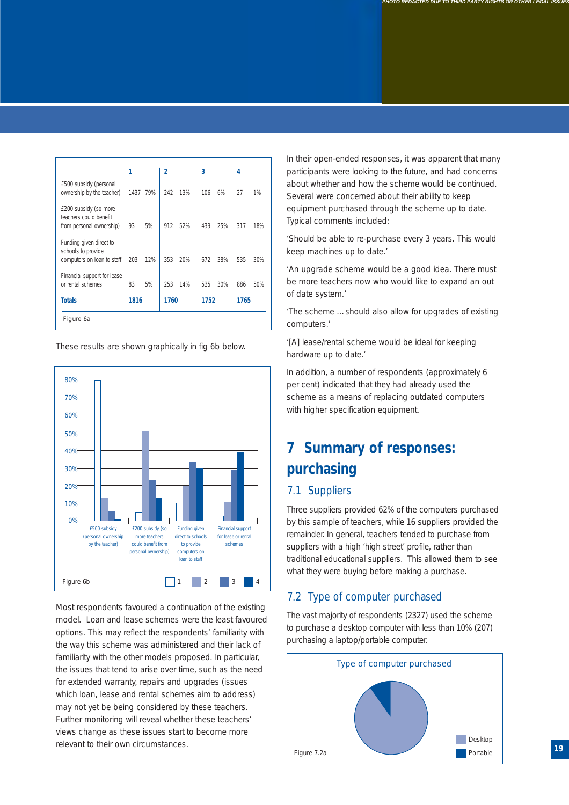|                                                                             | 1    |          | 2    |     | 3    |     | 4    |     |
|-----------------------------------------------------------------------------|------|----------|------|-----|------|-----|------|-----|
| £500 subsidy (personal<br>ownership by the teacher)                         |      | 1437 79% | 242  | 13% | 106  | 6%  | 27   | 1%  |
| £200 subsidy (so more<br>teachers could benefit<br>from personal ownership) | 93   | 5%       | 912  | 52% | 439  | 25% | 317  | 18% |
| Funding given direct to<br>schools to provide<br>computers on loan to staff | 203  | 12%      | 353  | 20% | 672  | 38% | 535  | 30% |
| Financial support for lease<br>or rental schemes                            | 83   | 5%       | 253  | 14% | 535  | 30% | 886  | 50% |
| <b>Totals</b>                                                               | 1816 |          | 1760 |     | 1752 |     | 1765 |     |
| Figure 6a                                                                   |      |          |      |     |      |     |      |     |

These results are shown graphically in fig 6b below.



Most respondents favoured a continuation of the existing model. Loan and lease schemes were the least favoured options. This may reflect the respondents' familiarity with the way this scheme was administered and their lack of familiarity with the other models proposed. In particular, the issues that tend to arise over time, such as the need for extended warranty, repairs and upgrades (issues which loan, lease and rental schemes aim to address) may not yet be being considered by these teachers. Further monitoring will reveal whether these teachers' views change as these issues start to become more relevant to their own circumstances.

In their open-ended responses, it was apparent that many participants were looking to the future, and had concerns about whether and how the scheme would be continued. Several were concerned about their ability to keep equipment purchased through the scheme up to date. Typical comments included:

'Should be able to re-purchase every 3 years. This would keep machines up to date.'

'An upgrade scheme would be a good idea. There must be more teachers now who would like to expand an out of date system.'

'The scheme …should also allow for upgrades of existing computers.'

'[A] lease/rental scheme would be ideal for keeping hardware up to date.'

In addition, a number of respondents (approximately 6 per cent) indicated that they had already used the scheme as a means of replacing outdated computers with higher specification equipment.

### **7 Summary of responses: purchasing**

#### 7.1 Suppliers

Three suppliers provided 62% of the computers purchased by this sample of teachers, while 16 suppliers provided the remainder. In general, teachers tended to purchase from suppliers with a high 'high street' profile, rather than traditional educational suppliers. This allowed them to see what they were buying before making a purchase.

#### 7.2 Type of computer purchased

The vast majority of respondents (2327) used the scheme to purchase a desktop computer with less than 10% (207) purchasing a laptop/portable computer.

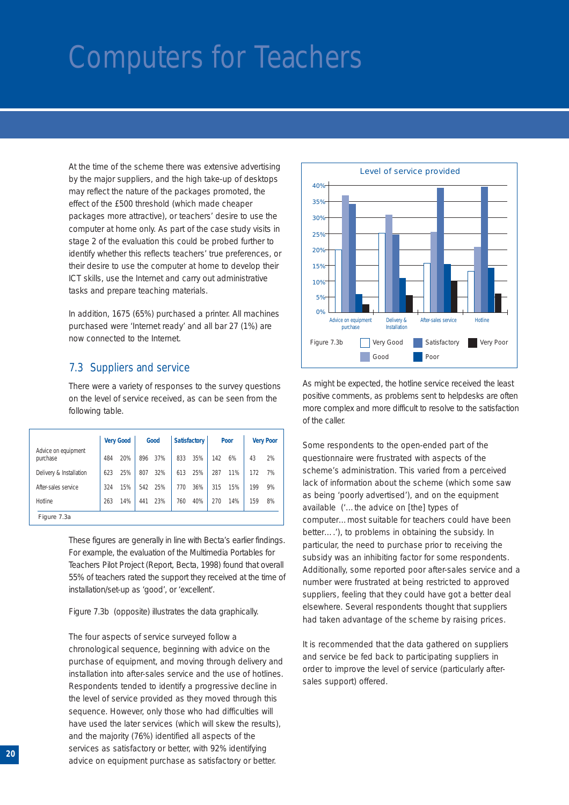At the time of the scheme there was extensive advertising by the major suppliers, and the high take-up of desktops may reflect the nature of the packages promoted, the effect of the £500 threshold (which made cheaper packages more attractive), or teachers' desire to use the computer at home only. As part of the case study visits in stage 2 of the evaluation this could be probed further to identify whether this reflects teachers' true preferences, or their desire to use the computer at home to develop their ICT skills, use the Internet and carry out administrative tasks and prepare teaching materials.

In addition, 1675 (65%) purchased a printer. All machines purchased were 'Internet ready' and all bar 27 (1%) are now connected to the Internet.

#### 7.3 Suppliers and service

There were a variety of responses to the survey questions on the level of service received, as can be seen from the following table.

|                                 |     | <b>Very Good</b> | Good |     | <b>Satisfactory</b> |     | Poor |     | <b>Very Poor</b> |    |
|---------------------------------|-----|------------------|------|-----|---------------------|-----|------|-----|------------------|----|
| Advice on equipment<br>purchase | 484 | 20%              | 896  | 37% | 833                 | 35% | 142  | 6%  | 43               | 2% |
| Delivery & Installation         | 623 | 25%              | 807  | 32% | 613                 | 25% | 287  | 11% | 172              | 7% |
| After-sales service             | 324 | 15%              | 542  | 25% | 770                 | 36% | 315  | 15% | 199              | 9% |
| Hotline                         | 263 | 14%              | 441  | 23% | 760                 | 40% | 270  | 14% | 159              | 8% |

These figures are generally in line with Becta's earlier findings. For example, the evaluation of the Multimedia Portables for Teachers Pilot Project (Report, Becta, 1998) found that overall 55% of teachers rated the support they received at the time of installation/set-up as 'good', or 'excellent'.

Figure 7.3b (opposite) illustrates the data graphically.

The four aspects of service surveyed follow a chronological sequence, beginning with advice on the purchase of equipment, and moving through delivery and installation into after-sales service and the use of hotlines. Respondents tended to identify a progressive decline in the level of service provided as they moved through this sequence. However, only those who had difficulties will have used the later services (which will skew the results), and the majority (76%) identified all aspects of the services as satisfactory or better, with 92% identifying advice on equipment purchase as satisfactory or better.



As might be expected, the hotline service received the least positive comments, as problems sent to helpdesks are often more complex and more difficult to resolve to the satisfaction of the caller.

Some respondents to the open-ended part of the questionnaire were frustrated with aspects of the scheme's administration. This varied from a perceived lack of information about the scheme (which some saw as being 'poorly advertised'), and on the equipment available ('…the advice on [the] types of computer…most suitable for teachers could have been better….'), to problems in obtaining the subsidy. In particular, the need to purchase prior to receiving the subsidy was an inhibiting factor for some respondents. Additionally, some reported poor after-sales service and a number were frustrated at being restricted to approved suppliers, feeling that they could have got a better deal elsewhere. Several respondents thought that suppliers had taken advantage of the scheme by raising prices.

It is recommended that the data gathered on suppliers and service be fed back to participating suppliers in order to improve the level of service (particularly aftersales support) offered.